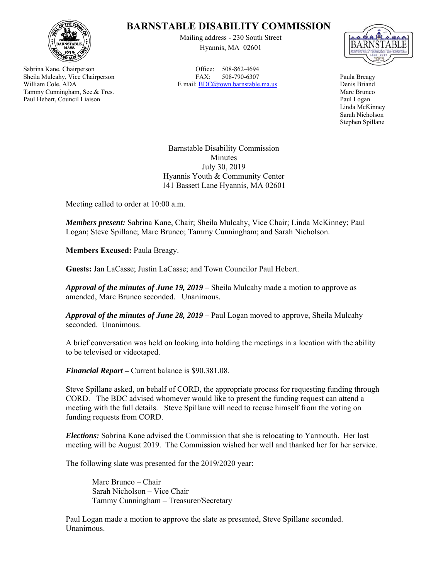

Sabrina Kane, Chairperson Sheila Mulcahy, Vice Chairperson William Cole, ADA Tammy Cunningham, Sec.& Tres. Paul Hebert, Council Liaison

## **BARNSTABLE DISABILITY COMMISSION**

Mailing address - 230 South Street Hyannis, MA 02601

Office: 508-862-4694 FAX: 508-790-6307 E mail: BDC@town.barnstable.ma.us



Paula Breagy Denis Briand Marc Brunco Paul Logan Linda McKinney Sarah Nicholson Stephen Spillane

Barnstable Disability Commission Minutes July 30, 2019 Hyannis Youth & Community Center 141 Bassett Lane Hyannis, MA 02601

Meeting called to order at 10:00 a.m.

*Members present:* Sabrina Kane, Chair; Sheila Mulcahy, Vice Chair; Linda McKinney; Paul Logan; Steve Spillane; Marc Brunco; Tammy Cunningham; and Sarah Nicholson.

**Members Excused:** Paula Breagy.

**Guests:** Jan LaCasse; Justin LaCasse; and Town Councilor Paul Hebert.

*Approval of the minutes of June 19, 2019* – Sheila Mulcahy made a motion to approve as amended, Marc Brunco seconded. Unanimous.

*Approval of the minutes of June 28, 2019* – Paul Logan moved to approve, Sheila Mulcahy seconded. Unanimous.

A brief conversation was held on looking into holding the meetings in a location with the ability to be televised or videotaped.

*Financial Report –* Current balance is \$90,381.08.

Steve Spillane asked, on behalf of CORD, the appropriate process for requesting funding through CORD. The BDC advised whomever would like to present the funding request can attend a meeting with the full details. Steve Spillane will need to recuse himself from the voting on funding requests from CORD.

*Elections:* Sabrina Kane advised the Commission that she is relocating to Yarmouth. Her last meeting will be August 2019. The Commission wished her well and thanked her for her service.

The following slate was presented for the 2019/2020 year:

 Marc Brunco – Chair Sarah Nicholson – Vice Chair Tammy Cunningham – Treasurer/Secretary

Paul Logan made a motion to approve the slate as presented, Steve Spillane seconded. Unanimous.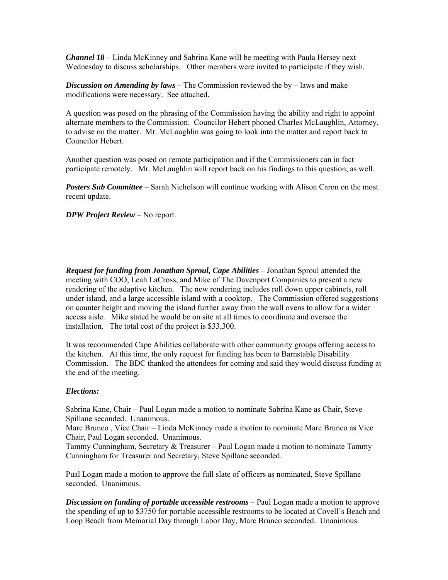*Channel 18* – Linda McKinney and Sabrina Kane will be meeting with Paula Hersey next Wednesday to discuss scholarships. Other members were invited to participate if they wish.

*Discussion on Amending by laws* – The Commission reviewed the by – laws and make modifications were necessary. See attached.

A question was posed on the phrasing of the Commission having the ability and right to appoint alternate members to the Commission. Councilor Hebert phoned Charles McLaughlin, Attorney, to advise on the matter. Mr. McLaughlin was going to look into the matter and report back to Councilor Hebert.

Another question was posed on remote participation and if the Commissioners can in fact participate remotely. Mr. McLaughlin will report back on his findings to this question, as well.

**Posters Sub Committee** – Sarah Nicholson will continue working with Alison Caron on the most recent update.

*DPW Project Review* – No report.

*Request for funding from Jonathan Sproul, Cape Abilities* – Jonathan Sproul attended the meeting with COO, Leah LaCross, and Mike of The Davenport Companies to present a new rendering of the adaptive kitchen. The new rendering includes roll down upper cabinets, roll under island, and a large accessible island with a cooktop. The Commission offered suggestions on counter height and moving the island further away from the wall ovens to allow for a wider access aisle. Mike stated he would be on site at all times to coordinate and oversee the installation. The total cost of the project is \$33,300.

It was recommended Cape Abilities collaborate with other community groups offering access to the kitchen. At this time, the only request for funding has been to Barnstable Disability Commission. The BDC thanked the attendees for coming and said they would discuss funding at the end of the meeting.

## *Elections:*

Sabrina Kane, Chair – Paul Logan made a motion to nominate Sabrina Kane as Chair, Steve Spillane seconded. Unanimous.

Marc Brunco , Vice Chair – Linda McKinney made a motion to nominate Marc Brunco as Vice Chair, Paul Logan seconded. Unanimous.

Tammy Cunningham, Secretary & Treasurer – Paul Logan made a motion to nominate Tammy Cunningham for Treasurer and Secretary, Steve Spillane seconded.

Pual Logan made a motion to approve the full slate of officers as nominated, Steve Spillane seconded. Unanimous.

*Discussion on funding of portable accessible restrooms* – Paul Logan made a motion to approve the spending of up to \$3750 for portable accessible restrooms to be located at Covell's Beach and Loop Beach from Memorial Day through Labor Day, Marc Brunco seconded. Unanimous.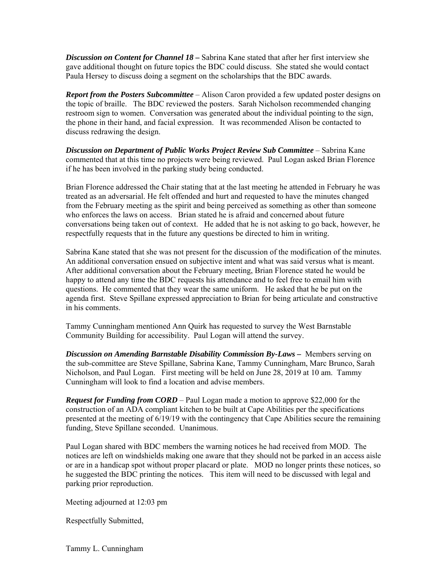*Discussion on Content for Channel 18 –* Sabrina Kane stated that after her first interview she gave additional thought on future topics the BDC could discuss. She stated she would contact Paula Hersey to discuss doing a segment on the scholarships that the BDC awards.

*Report from the Posters Subcommittee* – Alison Caron provided a few updated poster designs on the topic of braille. The BDC reviewed the posters. Sarah Nicholson recommended changing restroom sign to women. Conversation was generated about the individual pointing to the sign, the phone in their hand, and facial expression. It was recommended Alison be contacted to discuss redrawing the design.

*Discussion on Department of Public Works Project Review Sub Committee* – Sabrina Kane commented that at this time no projects were being reviewed. Paul Logan asked Brian Florence if he has been involved in the parking study being conducted.

Brian Florence addressed the Chair stating that at the last meeting he attended in February he was treated as an adversarial. He felt offended and hurt and requested to have the minutes changed from the February meeting as the spirit and being perceived as something as other than someone who enforces the laws on access. Brian stated he is afraid and concerned about future conversations being taken out of context. He added that he is not asking to go back, however, he respectfully requests that in the future any questions be directed to him in writing.

Sabrina Kane stated that she was not present for the discussion of the modification of the minutes. An additional conversation ensued on subjective intent and what was said versus what is meant. After additional conversation about the February meeting, Brian Florence stated he would be happy to attend any time the BDC requests his attendance and to feel free to email him with questions. He commented that they wear the same uniform. He asked that he be put on the agenda first. Steve Spillane expressed appreciation to Brian for being articulate and constructive in his comments.

Tammy Cunningham mentioned Ann Quirk has requested to survey the West Barnstable Community Building for accessibility. Paul Logan will attend the survey.

**Discussion on Amending Barnstable Disability Commission By-Laws –** Members serving on the sub-committee are Steve Spillane, Sabrina Kane, Tammy Cunningham, Marc Brunco, Sarah Nicholson, and Paul Logan. First meeting will be held on June 28, 2019 at 10 am. Tammy Cunningham will look to find a location and advise members.

*Request for Funding from CORD* – Paul Logan made a motion to approve \$22,000 for the construction of an ADA compliant kitchen to be built at Cape Abilities per the specifications presented at the meeting of 6/19/19 with the contingency that Cape Abilities secure the remaining funding, Steve Spillane seconded. Unanimous.

Paul Logan shared with BDC members the warning notices he had received from MOD. The notices are left on windshields making one aware that they should not be parked in an access aisle or are in a handicap spot without proper placard or plate. MOD no longer prints these notices, so he suggested the BDC printing the notices. This item will need to be discussed with legal and parking prior reproduction.

Meeting adjourned at 12:03 pm

Respectfully Submitted,

Tammy L. Cunningham